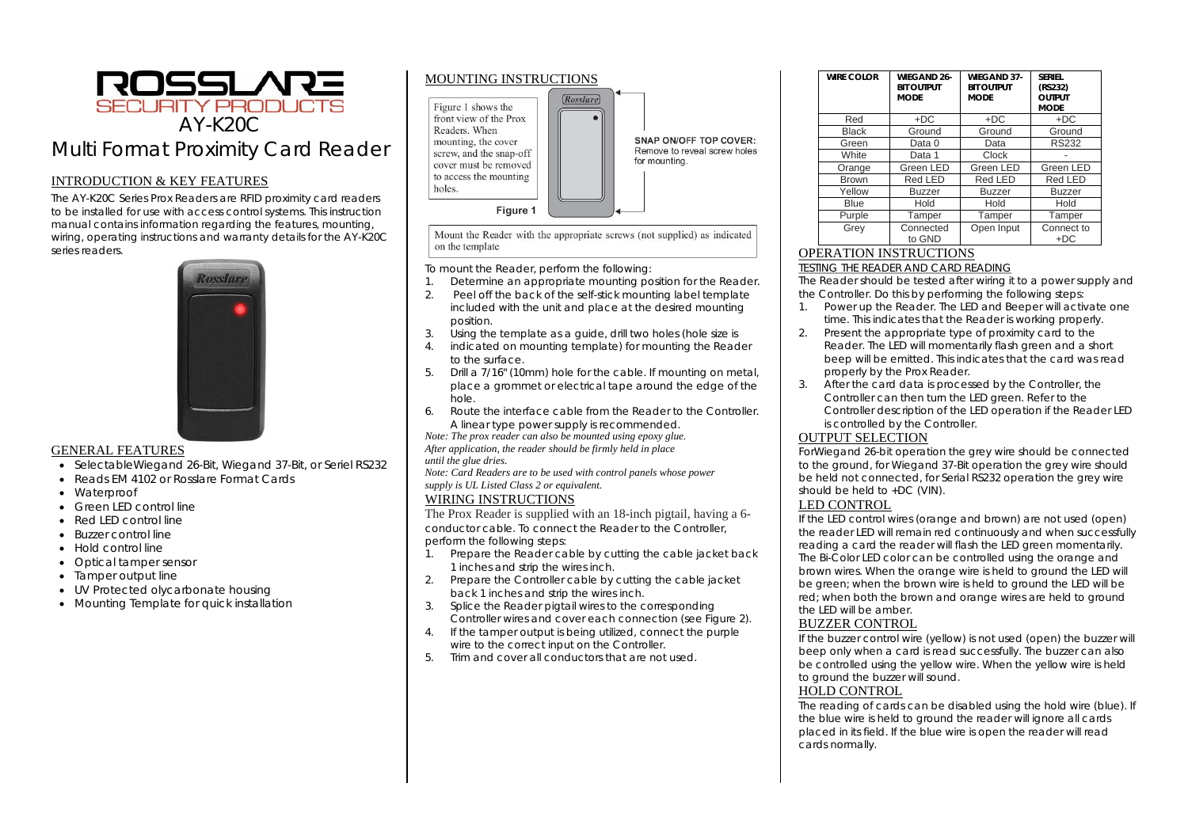

# INTRODUCTION & KEY FEATURES

The AY-K20C Series Prox Readers are RFID proximity card readers to be installed for use with access control systems. This instruction manual contains information regarding the features, mounting, wiring, operating instructions and warranty details for the AY-K20C series readers.



## GENERAL FEATURES

- SelectableWiegand 26-Bit, Wiegand 37-Bit, or Seriel RS232
- Reads EM 4102 or Rosslare Format Cards
- Waterproof
- Green LED control line
- Red LED control line
- Buzzer control line
- Hold control line
- Optical tamper sensor
- Tamper output line
- UV Protected olycarbonate housing
- Mounting Template for quick installation



Mount the Reader with the appropriate screws (not supplied) as indicated on the template

To mount the Reader, perform the following:

- 1.Determine an appropriate mounting position for the Reader.
- 2. Peel off the back of the self-stick mounting label template included with the unit and place at the desired mounting position.
- 3.Using the template as a guide, drill two holes (hole size is
- 4. indicated on mounting template) for mounting the Reader to the surface.
- 5. Drill a 7/16" (10mm) hole for the cable. If mounting on metal, place a grommet or electrical tape around the edge of the hole.
- 6. Route the interface cable from the Reader to the Controller. A linear type power supply is recommended.

*Note: The prox reader can also be mounted using epoxy glue. After application, the reader should be firmly held in place until the glue dries.* 

*Note: Card Readers are to be used with control panels whose power supply is UL Listed Class 2 or equivalent.* 

# WIRING INSTRUCTIONS

The Prox Reader is supplied with an 18-inch pigtail, having a 6 conductor cable. To connect the Reader to the Controller, perform the following steps:

- 1. Prepare the Reader cable by cutting the cable jacket back 1 inches and strip the wires inch.
- 2. Prepare the Controller cable by cutting the cable jacket back 1 inches and strip the wires inch.
- 3. Splice the Reader pigtail wires to the corresponding Controller wires and cover each connection (see Figure 2).
- 4. If the tamper output is being utilized, connect the purple wire to the correct input on the Controller.
- 5.Trim and cover all conductors that are not used.

| <b>WIRE COLOR</b> | <b>WIEGAND 26-</b><br><b>BIT OUTPUT</b><br><b>MODE</b> | <b>WIEGAND 37-</b><br><b>BIT OUTPUT</b><br><b>MODE</b> | <b>SERIEL</b><br>(RS232)<br><b>OUTPUT</b><br><b>MODE</b> |
|-------------------|--------------------------------------------------------|--------------------------------------------------------|----------------------------------------------------------|
| Red               | $+DC$                                                  | $+DC$                                                  | $+DC$                                                    |
| <b>Black</b>      | Ground                                                 | Ground                                                 | Ground                                                   |
| Green             | Data 0                                                 | Data                                                   | <b>RS232</b>                                             |
| White             | Data 1                                                 | Clock                                                  |                                                          |
| Orange            | Green LED                                              | Green LED                                              | Green LED                                                |
| <b>Brown</b>      | Red LED                                                | Red LED                                                | Red LED                                                  |
| Yellow            | <b>Buzzer</b>                                          | <b>Buzzer</b>                                          | <b>Buzzer</b>                                            |
| <b>Blue</b>       | Hold                                                   | Hold                                                   | Hold                                                     |
| Purple            | Tamper                                                 | Tamper                                                 | Tamper                                                   |
| Grey              | Connected<br>to GND                                    | Open Input                                             | Connect to<br>$+DC$                                      |

# OPERATION INSTRUCTIONS

### TESTING THE READER AND CARD READING

 The Reader should be tested after wiring it to a power supply and the Controller. Do this by performing the following steps:

- 1. Power up the Reader. The LED and Beeper will activate one time. This indicates that the Reader is working properly.
- 2. Present the appropriate type of proximity card to the Reader. The LED will momentarily flash green and a short beep will be emitted. This indicates that the card was read properly by the Prox Reader.
- 3. After the card data is processed by the Controller, the Controller can then turn the LED green. Refer to the Controller description of the LED operation if the Reader LED is controlled by the Controller.

## OUTPUT SELECTION

ForWiegand 26-bit operation the grey wire should be connected to the ground, for Wiegand 37-Bit operation the grey wire should be held not connected, for Serial RS232 operation the grey wire should be held to +DC (VIN).

## LED CONTROL

If the LED control wires (orange and brown) are not used (open) the reader LED will remain red continuously and when successfully reading a card the reader will flash the LED green momentarily. The Bi-Color LED color can be controlled using the orange and brown wires. When the orange wire is held to ground the LED will be green; when the brown wire is held to ground the LED will be red; when both the brown and orange wires are held to ground the LED will be amber.

# BUZZER CONTROL

If the buzzer control wire (yellow) is not used (open) the buzzer will beep only when a card is read successfully. The buzzer can also be controlled using the yellow wire. When the yellow wire is held to ground the buzzer will sound.

# HOLD CONTROL

The reading of cards can be disabled using the hold wire (blue). If the blue wire is held to ground the reader will ignore all cards placed in its field. If the blue wire is open the reader will read cards normally.